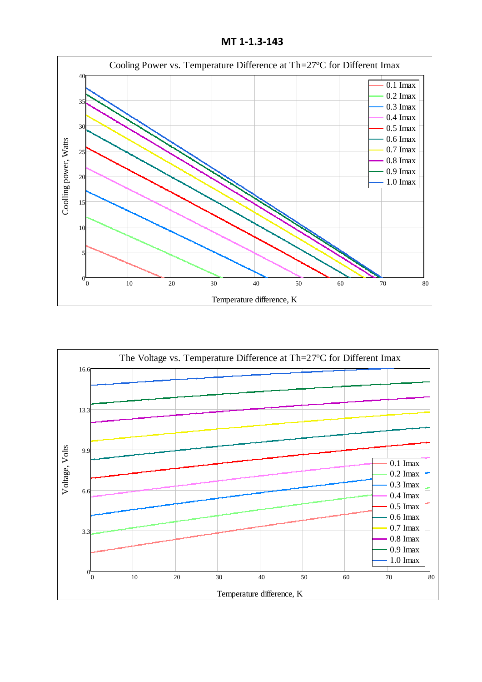**MT 1-1.3-143**